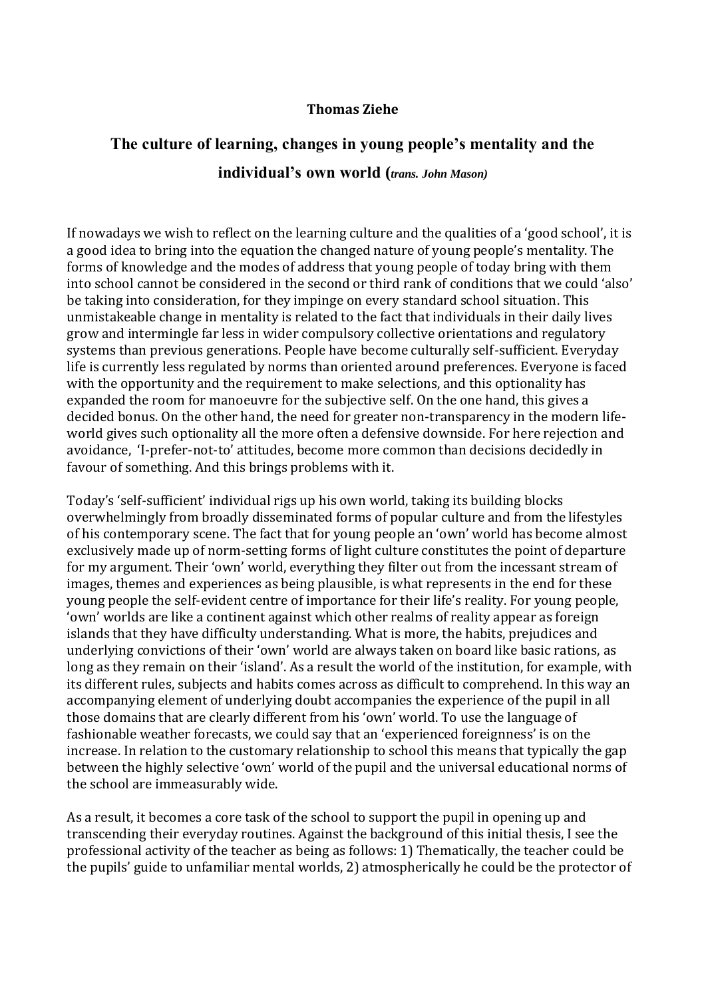### **Thomas Ziehe**

# **The culture of learning, changes in young people's mentality and the individual's own world (***trans. John Mason)*

If nowadays we wish to reflect on the learning culture and the qualities of a 'good school', it is a good idea to bring into the equation the changed nature of young people's mentality. The forms of knowledge and the modes of address that young people of today bring with them into school cannot be considered in the second or third rank of conditions that we could 'also' be taking into consideration, for they impinge on every standard school situation. This unmistakeable change in mentality is related to the fact that individuals in their daily lives grow and intermingle far less in wider compulsory collective orientations and regulatory systems than previous generations. People have become culturally self-sufficient. Everyday life is currently less regulated by norms than oriented around preferences. Everyone is faced with the opportunity and the requirement to make selections, and this optionality has expanded the room for manoeuvre for the subjective self. On the one hand, this gives a decided bonus. On the other hand, the need for greater non-transparency in the modern lifeworld gives such optionality all the more often a defensive downside. For here rejection and avoidance, 'I-prefer-not-to' attitudes, become more common than decisions decidedly in favour of something. And this brings problems with it.

Today's 'self-sufficient' individual rigs up his own world, taking its building blocks overwhelmingly from broadly disseminated forms of popular culture and from the lifestyles of his contemporary scene. The fact that for young people an 'own' world has become almost exclusively made up of norm-setting forms of light culture constitutes the point of departure for my argument. Their 'own' world, everything they filter out from the incessant stream of images, themes and experiences as being plausible, is what represents in the end for these young people the self-evident centre of importance for their life's reality. For young people, 'own' worlds are like a continent against which other realms of reality appear as foreign islands that they have difficulty understanding. What is more, the habits, prejudices and underlying convictions of their 'own' world are always taken on board like basic rations, as long as they remain on their 'island'. As a result the world of the institution, for example, with its different rules, subjects and habits comes across as difficult to comprehend. In this way an accompanying element of underlying doubt accompanies the experience of the pupil in all those domains that are clearly different from his 'own' world. To use the language of fashionable weather forecasts, we could say that an 'experienced foreignness' is on the increase. In relation to the customary relationship to school this means that typically the gap between the highly selective 'own' world of the pupil and the universal educational norms of the school are immeasurably wide.

As a result, it becomes a core task of the school to support the pupil in opening up and transcending their everyday routines. Against the background of this initial thesis, I see the professional activity of the teacher as being as follows: 1) Thematically, the teacher could be the pupils' guide to unfamiliar mental worlds, 2) atmospherically he could be the protector of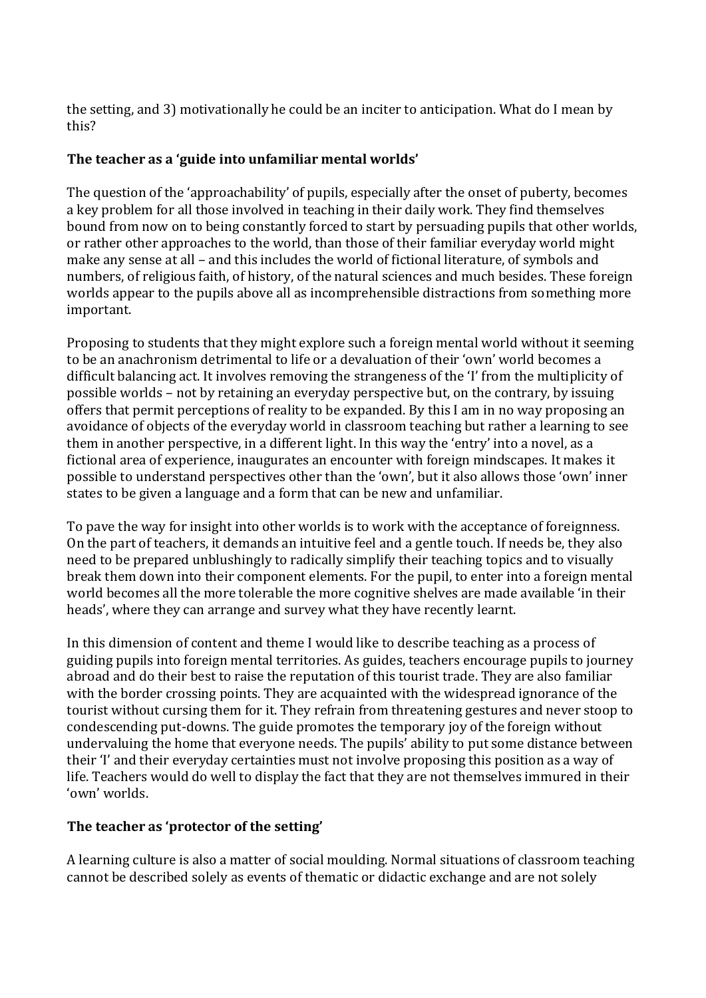the setting, and 3) motivationally he could be an inciter to anticipation. What do I mean by this?

## **The teacher as a 'guide into unfamiliar mental worlds'**

The question of the 'approachability' of pupils, especially after the onset of puberty, becomes a key problem for all those involved in teaching in their daily work. They find themselves bound from now on to being constantly forced to start by persuading pupils that other worlds, or rather other approaches to the world, than those of their familiar everyday world might make any sense at all – and this includes the world of fictional literature, of symbols and numbers, of religious faith, of history, of the natural sciences and much besides. These foreign worlds appear to the pupils above all as incomprehensible distractions from something more important.

Proposing to students that they might explore such a foreign mental world without it seeming to be an anachronism detrimental to life or a devaluation of their 'own' world becomes a difficult balancing act. It involves removing the strangeness of the 'I' from the multiplicity of possible worlds – not by retaining an everyday perspective but, on the contrary, by issuing offers that permit perceptions of reality to be expanded. By this I am in no way proposing an avoidance of objects of the everyday world in classroom teaching but rather a learning to see them in another perspective, in a different light. In this way the 'entry' into a novel, as a fictional area of experience, inaugurates an encounter with foreign mindscapes. It makes it possible to understand perspectives other than the 'own', but it also allows those 'own' inner states to be given a language and a form that can be new and unfamiliar.

To pave the way for insight into other worlds is to work with the acceptance of foreignness. On the part of teachers, it demands an intuitive feel and a gentle touch. If needs be, they also need to be prepared unblushingly to radically simplify their teaching topics and to visually break them down into their component elements. For the pupil, to enter into a foreign mental world becomes all the more tolerable the more cognitive shelves are made available 'in their heads', where they can arrange and survey what they have recently learnt.

In this dimension of content and theme I would like to describe teaching as a process of guiding pupils into foreign mental territories. As guides, teachers encourage pupils to journey abroad and do their best to raise the reputation of this tourist trade. They are also familiar with the border crossing points. They are acquainted with the widespread ignorance of the tourist without cursing them for it. They refrain from threatening gestures and never stoop to condescending put-downs. The guide promotes the temporary joy of the foreign without undervaluing the home that everyone needs. The pupils' ability to put some distance between their 'I' and their everyday certainties must not involve proposing this position as a way of life. Teachers would do well to display the fact that they are not themselves immured in their 'own' worlds.

## **The teacher as 'protector of the setting'**

A learning culture is also a matter of social moulding. Normal situations of classroom teaching cannot be described solely as events of thematic or didactic exchange and are not solely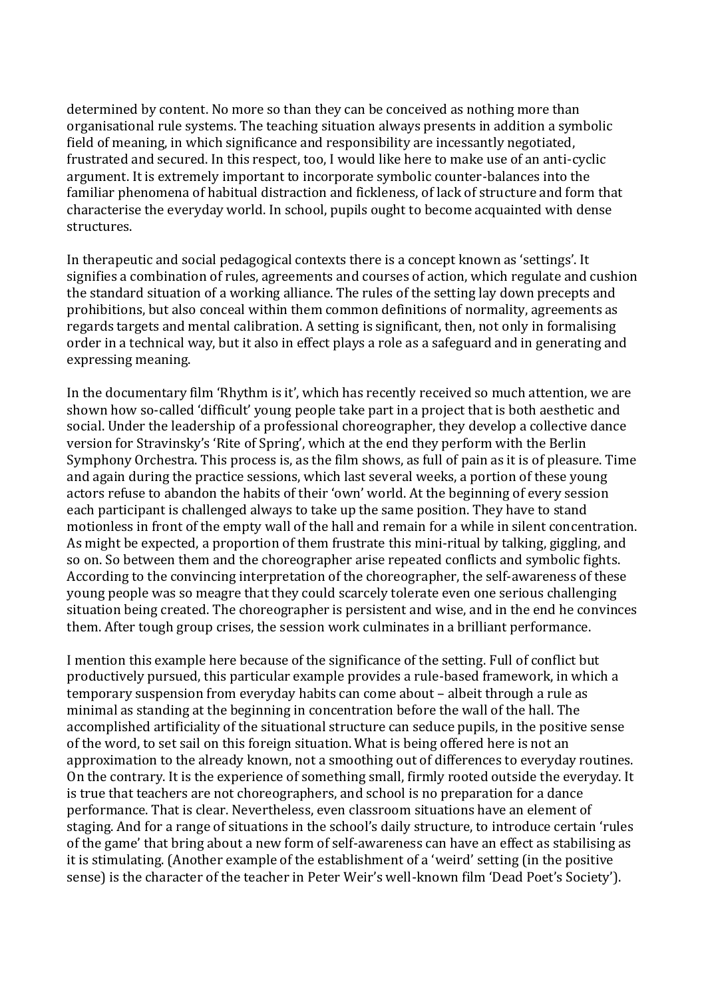determined by content. No more so than they can be conceived as nothing more than organisational rule systems. The teaching situation always presents in addition a symbolic field of meaning, in which significance and responsibility are incessantly negotiated, frustrated and secured. In this respect, too, I would like here to make use of an anti-cyclic argument. It is extremely important to incorporate symbolic counter-balances into the familiar phenomena of habitual distraction and fickleness, of lack of structure and form that characterise the everyday world. In school, pupils ought to become acquainted with dense structures.

In therapeutic and social pedagogical contexts there is a concept known as 'settings'. It signifies a combination of rules, agreements and courses of action, which regulate and cushion the standard situation of a working alliance. The rules of the setting lay down precepts and prohibitions, but also conceal within them common definitions of normality, agreements as regards targets and mental calibration. A setting is significant, then, not only in formalising order in a technical way, but it also in effect plays a role as a safeguard and in generating and expressing meaning.

In the documentary film 'Rhythm is it', which has recently received so much attention, we are shown how so-called 'difficult' young people take part in a project that is both aesthetic and social. Under the leadership of a professional choreographer, they develop a collective dance version for Stravinsky's 'Rite of Spring', which at the end they perform with the Berlin Symphony Orchestra. This process is, as the film shows, as full of pain as it is of pleasure. Time and again during the practice sessions, which last several weeks, a portion of these young actors refuse to abandon the habits of their 'own' world. At the beginning of every session each participant is challenged always to take up the same position. They have to stand motionless in front of the empty wall of the hall and remain for a while in silent concentration. As might be expected, a proportion of them frustrate this mini-ritual by talking, giggling, and so on. So between them and the choreographer arise repeated conflicts and symbolic fights. According to the convincing interpretation of the choreographer, the self-awareness of these young people was so meagre that they could scarcely tolerate even one serious challenging situation being created. The choreographer is persistent and wise, and in the end he convinces them. After tough group crises, the session work culminates in a brilliant performance.

I mention this example here because of the significance of the setting. Full of conflict but productively pursued, this particular example provides a rule-based framework, in which a temporary suspension from everyday habits can come about – albeit through a rule as minimal as standing at the beginning in concentration before the wall of the hall. The accomplished artificiality of the situational structure can seduce pupils, in the positive sense of the word, to set sail on this foreign situation. What is being offered here is not an approximation to the already known, not a smoothing out of differences to everyday routines. On the contrary. It is the experience of something small, firmly rooted outside the everyday. It is true that teachers are not choreographers, and school is no preparation for a dance performance. That is clear. Nevertheless, even classroom situations have an element of staging. And for a range of situations in the school's daily structure, to introduce certain 'rules of the game' that bring about a new form of self-awareness can have an effect as stabilising as it is stimulating. (Another example of the establishment of a 'weird' setting (in the positive sense) is the character of the teacher in Peter Weir's well-known film 'Dead Poet's Society').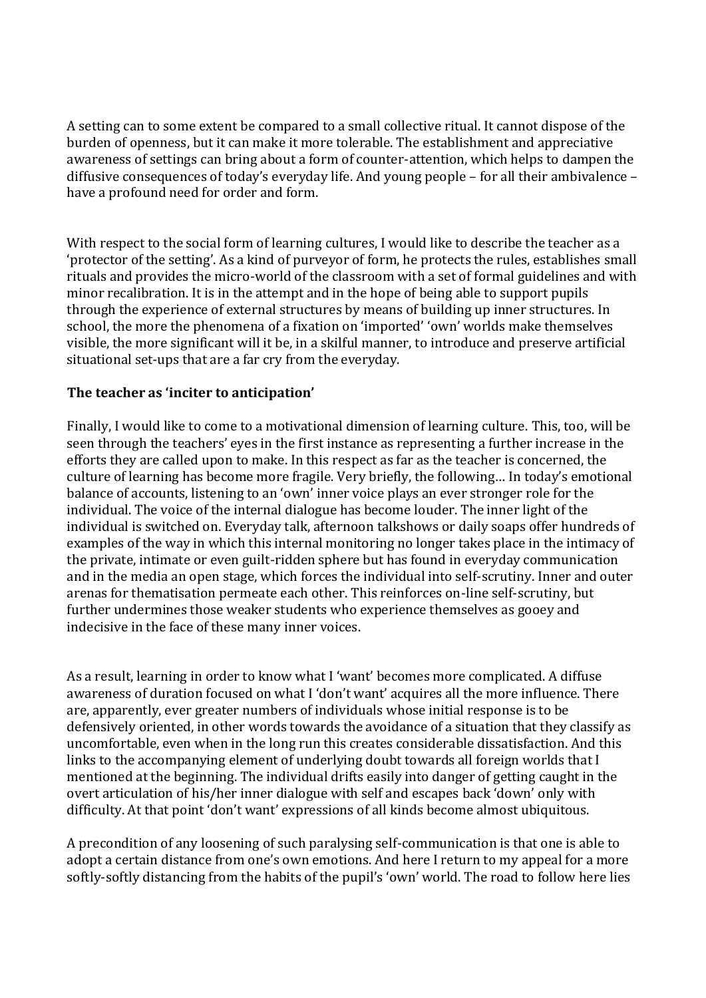A setting can to some extent be compared to a small collective ritual. It cannot dispose of the burden of openness, but it can make it more tolerable. The establishment and appreciative awareness of settings can bring about a form of counter-attention, which helps to dampen the diffusive consequences of today's everyday life. And young people – for all their ambivalence – have a profound need for order and form.

With respect to the social form of learning cultures, I would like to describe the teacher as a 'protector of the setting'. As a kind of purveyor of form, he protects the rules, establishes small rituals and provides the micro-world of the classroom with a set of formal guidelines and with minor recalibration. It is in the attempt and in the hope of being able to support pupils through the experience of external structures by means of building up inner structures. In school, the more the phenomena of a fixation on 'imported' 'own' worlds make themselves visible, the more significant will it be, in a skilful manner, to introduce and preserve artificial situational set-ups that are a far cry from the everyday.

### **The teacher as 'inciter to anticipation'**

Finally, I would like to come to a motivational dimension of learning culture. This, too, will be seen through the teachers' eyes in the first instance as representing a further increase in the efforts they are called upon to make. In this respect as far as the teacher is concerned, the culture of learning has become more fragile. Very briefly, the following… In today's emotional balance of accounts, listening to an 'own' inner voice plays an ever stronger role for the individual. The voice of the internal dialogue has become louder. The inner light of the individual is switched on. Everyday talk, afternoon talkshows or daily soaps offer hundreds of examples of the way in which this internal monitoring no longer takes place in the intimacy of the private, intimate or even guilt-ridden sphere but has found in everyday communication and in the media an open stage, which forces the individual into self-scrutiny. Inner and outer arenas for thematisation permeate each other. This reinforces on-line self-scrutiny, but further undermines those weaker students who experience themselves as gooey and indecisive in the face of these many inner voices.

As a result, learning in order to know what I 'want' becomes more complicated. A diffuse awareness of duration focused on what I 'don't want' acquires all the more influence. There are, apparently, ever greater numbers of individuals whose initial response is to be defensively oriented, in other words towards the avoidance of a situation that they classify as uncomfortable, even when in the long run this creates considerable dissatisfaction. And this links to the accompanying element of underlying doubt towards all foreign worlds that I mentioned at the beginning. The individual drifts easily into danger of getting caught in the overt articulation of his/her inner dialogue with self and escapes back 'down' only with difficulty. At that point 'don't want' expressions of all kinds become almost ubiquitous.

A precondition of any loosening of such paralysing self-communication is that one is able to adopt a certain distance from one's own emotions. And here I return to my appeal for a more softly-softly distancing from the habits of the pupil's 'own' world. The road to follow here lies